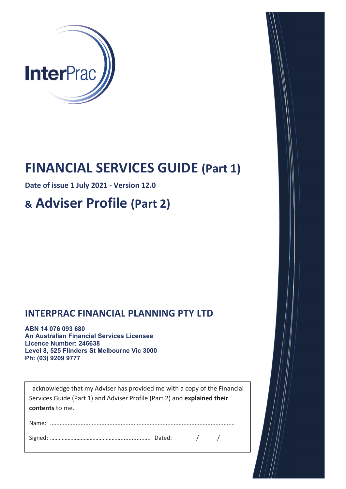

## **FINANCIAL SERVICES GUIDE (Part 1)**

**Date of issue 1 :ƵůLJ 20ϮϭͲVersion 1Ϯ.0**

# **& Adviser Profile (Part 2)**

### **INTERPRAC FINANCIAL PLANNING PTY LTD**

**ABN 14 076 093 680 An Australian Financial Services Licensee Licence Number: 246638 Level 8, 525 Flinders St Melbourne Vic 3000 Ph: (03) 9209 9777** 

I acknowledge that my Adviser has provided me with a copy of the Financial Services Guide (Part 1) and Adviser Profile (Part 2) and **explained their contents** to me.

Name: ...................................................................................................................

Signed: …………………………………………..............….. Dated: / /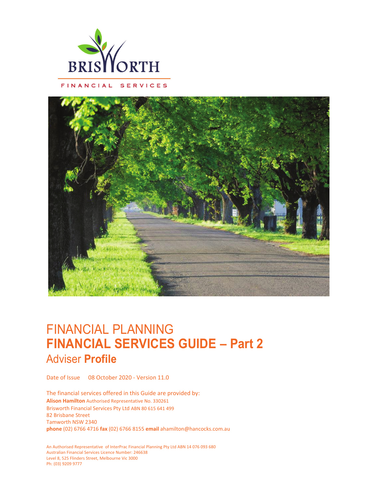

FINANCIAL SERVICES

### FINANCIAL PLANNING **FINANCIAL SERVICES GUIDE – Part 2** Adviser **Profile**

Date of Issue 08 October 2020 - Version 11.0

The financial services offered in this Guide are provided by: **Alison Hamilton** Authorised Representative No. 330261 Brisworth Financial Services Pty Ltd ABN 80 615 641 499 82 Brisbane Street Tamworth NSW 2340 **phone** (02) 6766 4716 **fax** (02) 6766 8155 **email** ahamilton@hancocks.com.au

An Authorised Representative of InterPrac Financial Planning Pty Ltd ABN 14 076 093 680 Australian Financial Services Licence Number: 246638 Level 8, 525 Flinders Street, Melbourne Vic 3000 Ph: (03) 9209 9777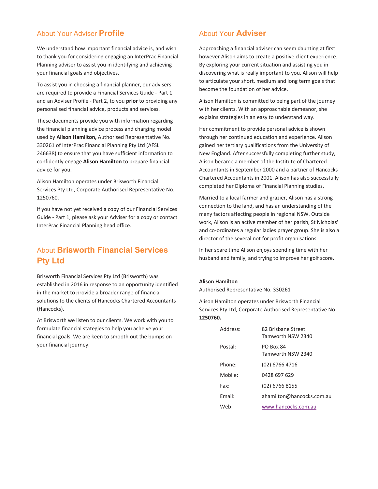#### About Your Adviser **Profile**

We understand how important financial advice is, and wish to thank you for considering engaging an InterPrac Financial Planning adviser to assist you in identifying and achieving your financial goals and objectives.

To assist you in choosing a financial planner, our advisers are required to provide a Financial Services Guide - Part 1 and an Adviser Profile - Part 2, to you **prior** to providing any personalised financial advice, products and services.

These documents provide you with information regarding the financial planning advice process and charging model used by **Alison Hamilton,** Authorised Representative No. 330261 of InterPrac Financial Planning Pty Ltd (AFSL 246638) to ensure that you have sufficient information to confidently engage **Alison Hamilton** to prepare financial advice for you.

Alison Hamilton operates under Brisworth Financial Services Pty Ltd, Corporate Authorised Representative No. 1250760.

If you have not yet received a copy of our Financial Services Guide - Part 1, please ask your Adviser for a copy or contact InterPrac Financial Planning head office.

#### About **Brisworth Financial Services Pty Ltd**

Brisworth Financial Services Pty Ltd (Brisworth) was established in 2016 in response to an opportunity identified in the market to provide a broader range of financial solutions to the clients of Hancocks Chartered Accountants (Hancocks).

At Brisworth we listen to our clients. We work with you to formulate financial stategies to help you acheive your financial goals. We are keen to smooth out the bumps on your financial journey.

#### About Your **Adviser**

Approaching a financial adviser can seem daunting at first however Alison aims to create a positive client experience. By exploring your current situation and assisting you in discovering what is really important to you. Alison will help to articulate your short, medium and long term goals that become the foundation of her advice.

Alison Hamilton is committed to being part of the journey with her clients. With an approachable demeanor, she explains strategies in an easy to understand way.

Her commitment to provide personal advice is shown through her continued education and experience. Alison gained her tertiary qualifications from the University of New England. After successfully completing further study, Alison became a member of the Institute of Chartered Accountants in September 2000 and a partner of Hancocks Chartered Accountants in 2001. Alison has also successfully completed her Diploma of Financial Planning studies.

Married to a local farmer and grazier, Alison has a strong connection to the land, and has an understanding of the many factors affecting people in regional NSW. Outside work, Alison is an active member of her parish, St Nicholas' and co-ordinates a regular ladies prayer group. She is also a director of the several not for profit organisations.

In her spare time Alison enjoys spending time with her husband and family, and trying to improve her golf score.

#### **Alison Hamilton**

Authorised Representative No. 330261

Alison Hamilton operates under Brisworth Financial Services Pty Ltd, Corporate Authorised Representative No. **1250760.** 

| Address. | 82 Brishane Street<br>Tamworth NSW 2340 |
|----------|-----------------------------------------|
| Postal:  | <b>PO Box 84</b><br>Tamworth NSW 2340   |
| Phone:   | (02) 6766 4716                          |
| Mobile:  | 0428 697 629                            |
| Fax:     | (02) 6766 8155                          |
| Fmail:   | ahamilton@hancocks.com.au               |
| Web:     | www.hancocks.com.au                     |